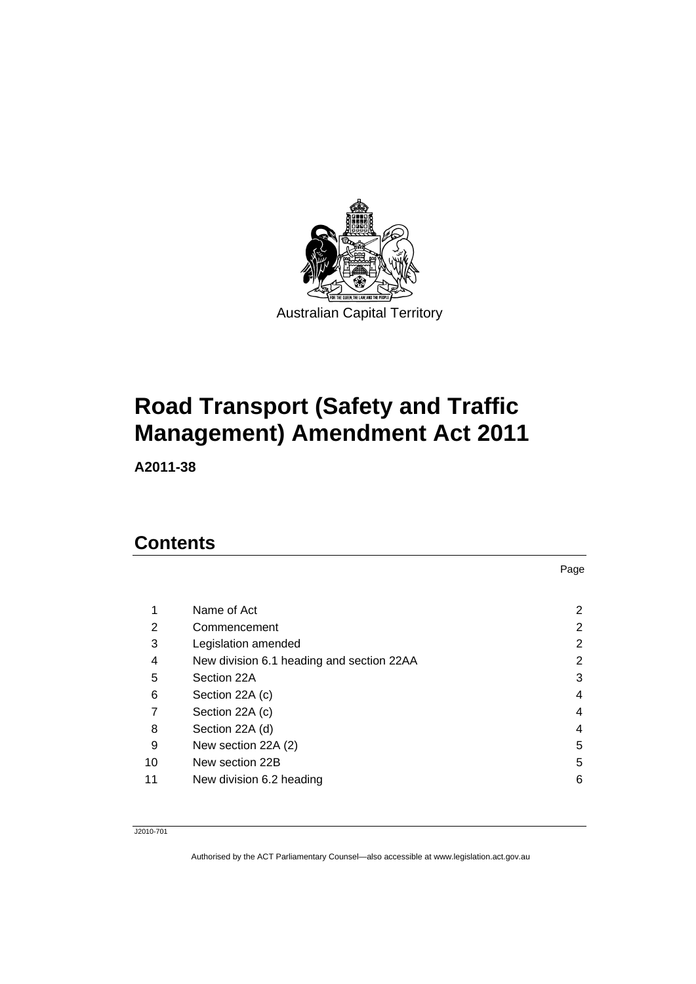

# **Road Transport (Safety and Traffic Management) Amendment Act 2011**

**A2011-38** 

## **Contents**

| 1  | Name of Act                               | 2 |
|----|-------------------------------------------|---|
| 2  | Commencement                              | 2 |
| 3  | Legislation amended                       | 2 |
| 4  | New division 6.1 heading and section 22AA | 2 |
| 5  | Section 22A                               | 3 |
| 6  | Section 22A (c)                           | 4 |
|    | Section 22A (c)                           | 4 |
| 8  | Section 22A (d)                           | 4 |
| 9  | New section 22A (2)                       | 5 |
| 10 | New section 22B                           | 5 |
| 11 | New division 6.2 heading                  | 6 |

Page

J2010-701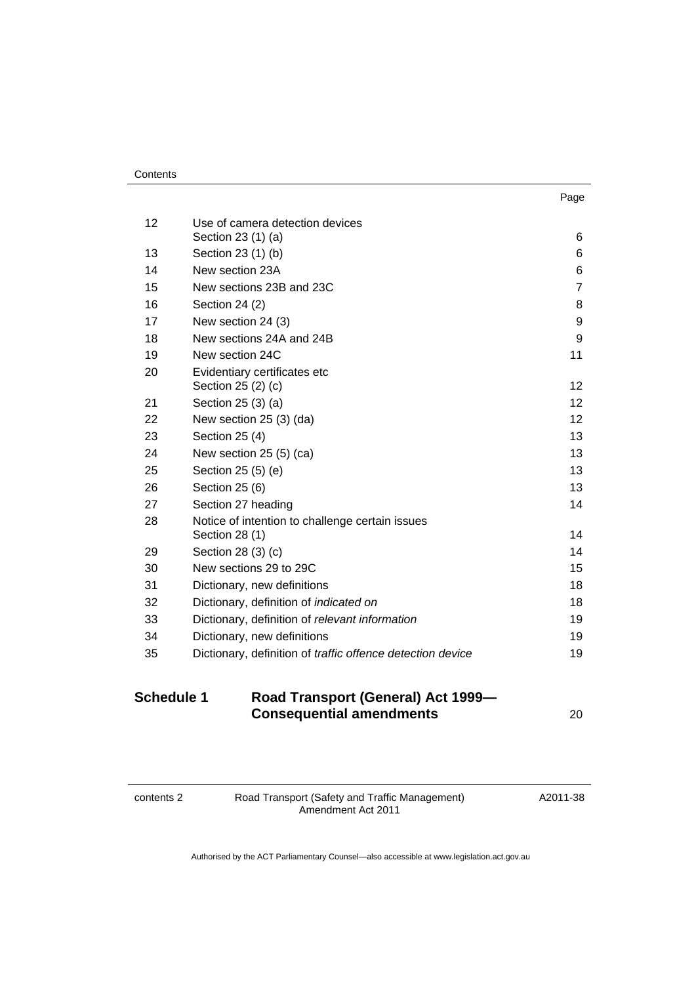| . .<br>× | ۰. |
|----------|----|

| 12 | Use of camera detection devices                                   |                 |
|----|-------------------------------------------------------------------|-----------------|
|    | Section 23 (1) (a)                                                | 6               |
| 13 | Section 23 (1) (b)                                                | 6               |
| 14 | New section 23A                                                   | 6               |
| 15 | New sections 23B and 23C                                          | $\overline{7}$  |
| 16 | Section 24 (2)                                                    | 8               |
| 17 | New section 24 (3)                                                | 9               |
| 18 | New sections 24A and 24B                                          | 9               |
| 19 | New section 24C                                                   | 11              |
| 20 | Evidentiary certificates etc<br>Section 25 (2) (c)                | 12 <sub>2</sub> |
| 21 | Section 25 (3) (a)                                                | 12              |
| 22 | New section 25 (3) (da)                                           | 12 <sup>2</sup> |
| 23 | Section 25 (4)                                                    | 13              |
| 24 | New section 25 (5) (ca)                                           | 13              |
| 25 | Section 25 (5) (e)                                                | 13              |
| 26 | Section 25 (6)                                                    | 13              |
| 27 | Section 27 heading                                                | 14              |
| 28 | Notice of intention to challenge certain issues<br>Section 28 (1) | 14              |
| 29 | Section 28 (3) (c)                                                | 14              |
| 30 | New sections 29 to 29C                                            | 15              |
| 31 | Dictionary, new definitions                                       | 18              |
| 32 | Dictionary, definition of indicated on                            | 18              |
| 33 | Dictionary, definition of relevant information                    | 19              |
| 34 | Dictionary, new definitions                                       | 19              |
| 35 | Dictionary, definition of <i>traffic</i> offence detection device | 19              |
|    |                                                                   |                 |

## **Schedule 1 [Road Transport \(General\) Act 1999—](#page-21-0) [Consequential amendments](#page-21-0)** [20](#page-21-0)

contents 2 Road Transport (Safety and Traffic Management) Amendment Act 2011

A2011-38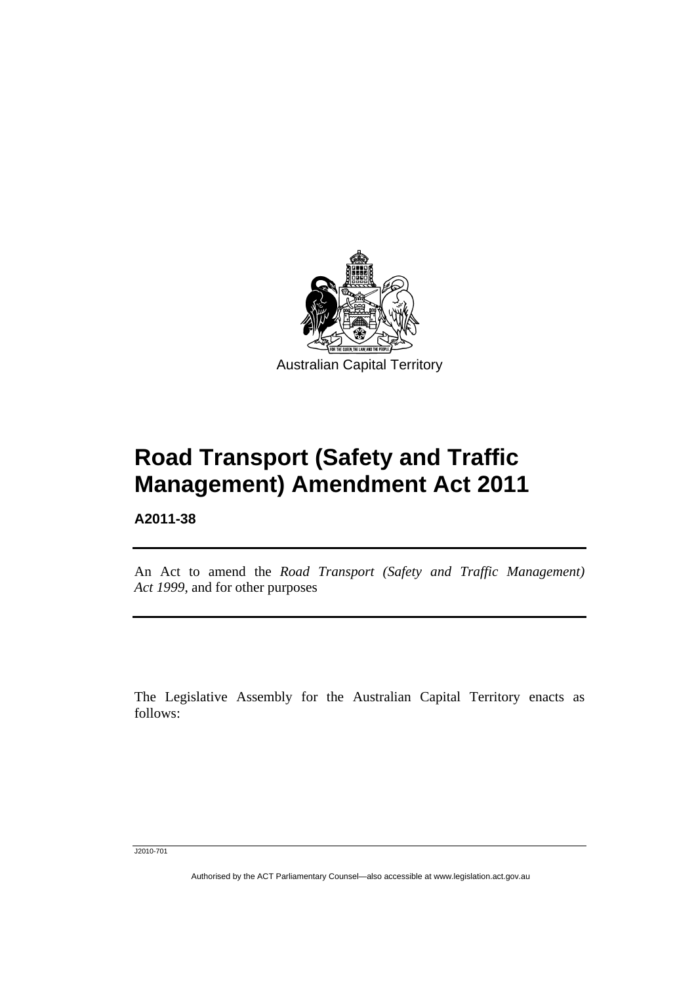

# **Road Transport (Safety and Traffic Management) Amendment Act 2011**

**A2011-38** 

l

An Act to amend the *Road Transport (Safety and Traffic Management) Act 1999*, and for other purposes

The Legislative Assembly for the Australian Capital Territory enacts as follows:

J2010-701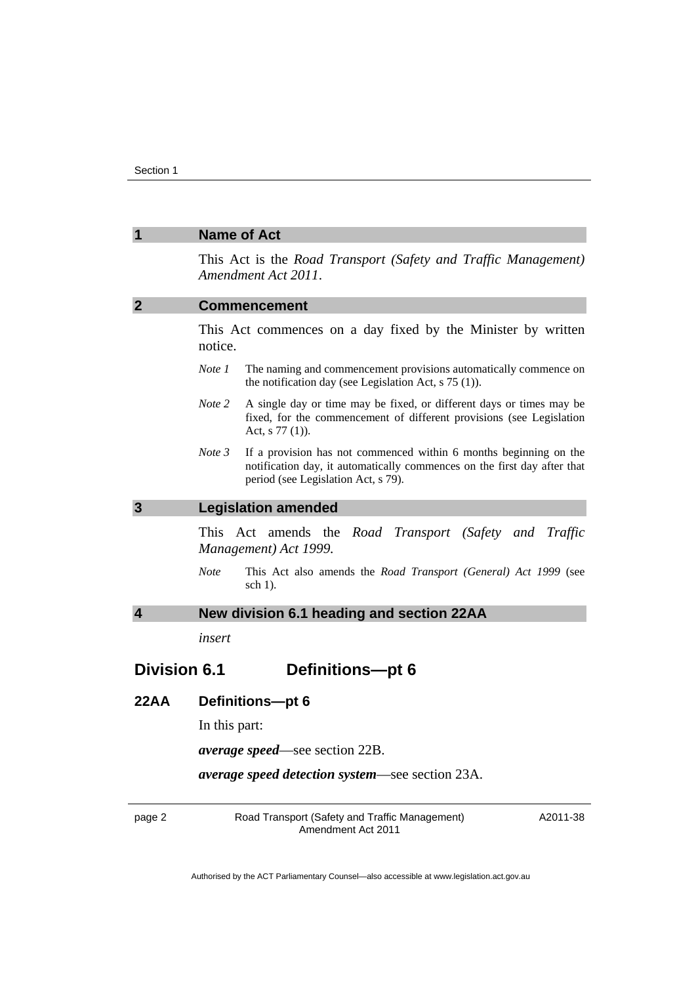<span id="page-3-2"></span><span id="page-3-1"></span><span id="page-3-0"></span>

|                         | <b>Name of Act</b>                                                                                                                                                                             |
|-------------------------|------------------------------------------------------------------------------------------------------------------------------------------------------------------------------------------------|
|                         | This Act is the Road Transport (Safety and Traffic Management)<br>Amendment Act 2011.                                                                                                          |
| $\mathbf{2}$            | <b>Commencement</b>                                                                                                                                                                            |
|                         | This Act commences on a day fixed by the Minister by written<br>notice.                                                                                                                        |
|                         | The naming and commencement provisions automatically commence on<br>Note 1<br>the notification day (see Legislation Act, $s$ 75 (1)).                                                          |
|                         | Note 2<br>A single day or time may be fixed, or different days or times may be<br>fixed, for the commencement of different provisions (see Legislation<br>Act, s 77 (1)).                      |
|                         | Note 3<br>If a provision has not commenced within 6 months beginning on the<br>notification day, it automatically commences on the first day after that<br>period (see Legislation Act, s 79). |
| 3                       | <b>Legislation amended</b>                                                                                                                                                                     |
|                         | This Act amends the Road Transport (Safety and<br>Traffic<br>Management) Act 1999.                                                                                                             |
|                         | This Act also amends the Road Transport (General) Act 1999 (see<br><b>Note</b><br>sch $1$ ).                                                                                                   |
| $\overline{\mathbf{4}}$ | New division 6.1 heading and section 22AA                                                                                                                                                      |
|                         | insert                                                                                                                                                                                         |
| <b>Division 6.1</b>     | <b>Definitions-pt 6</b>                                                                                                                                                                        |
| 22AA                    | Definitions-pt 6                                                                                                                                                                               |
|                         | In this part:                                                                                                                                                                                  |
|                         | <i>average speed—see section 22B.</i>                                                                                                                                                          |
|                         | <i>average speed detection system—see section 23A.</i>                                                                                                                                         |

<span id="page-3-3"></span>page 2 Road Transport (Safety and Traffic Management) Amendment Act 2011

A2011-38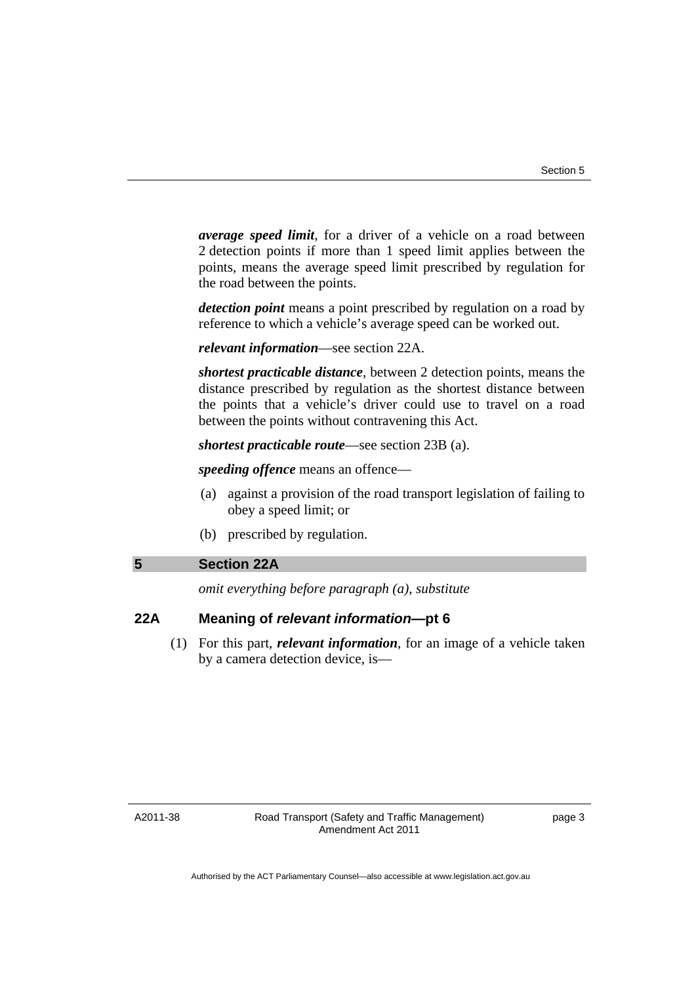*average speed limit*, for a driver of a vehicle on a road between 2 detection points if more than 1 speed limit applies between the points, means the average speed limit prescribed by regulation for the road between the points.

*detection point* means a point prescribed by regulation on a road by reference to which a vehicle's average speed can be worked out.

*relevant information*—see section 22A.

*shortest practicable distance*, between 2 detection points, means the distance prescribed by regulation as the shortest distance between the points that a vehicle's driver could use to travel on a road between the points without contravening this Act.

*shortest practicable route*—see section 23B (a).

*speeding offence* means an offence—

- (a) against a provision of the road transport legislation of failing to obey a speed limit; or
- (b) prescribed by regulation.

#### <span id="page-4-0"></span>**5 Section 22A**

*omit everything before paragraph (a), substitute* 

## **22A Meaning of** *relevant information***—pt 6**

 (1) For this part, *relevant information*, for an image of a vehicle taken by a camera detection device, is—

A2011-38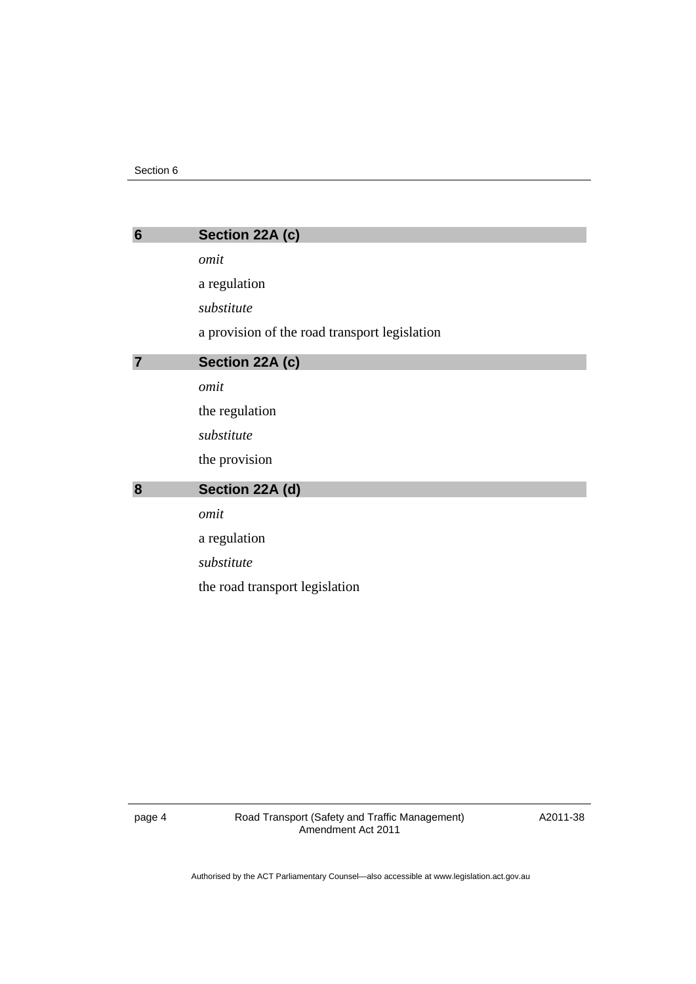<span id="page-5-2"></span><span id="page-5-1"></span><span id="page-5-0"></span>

| $6\phantom{1}6$ | Section 22A (c)                               |
|-----------------|-----------------------------------------------|
|                 | omit                                          |
|                 | a regulation                                  |
|                 | substitute                                    |
|                 | a provision of the road transport legislation |
| 7               | Section 22A (c)                               |
|                 | omit                                          |
|                 | the regulation                                |
|                 | substitute                                    |
|                 | the provision                                 |
| 8               | Section 22A (d)                               |
|                 | omit                                          |
|                 | a regulation                                  |
|                 | substitute                                    |
|                 | the road transport legislation                |
|                 |                                               |

page 4 Road Transport (Safety and Traffic Management) Amendment Act 2011

A2011-38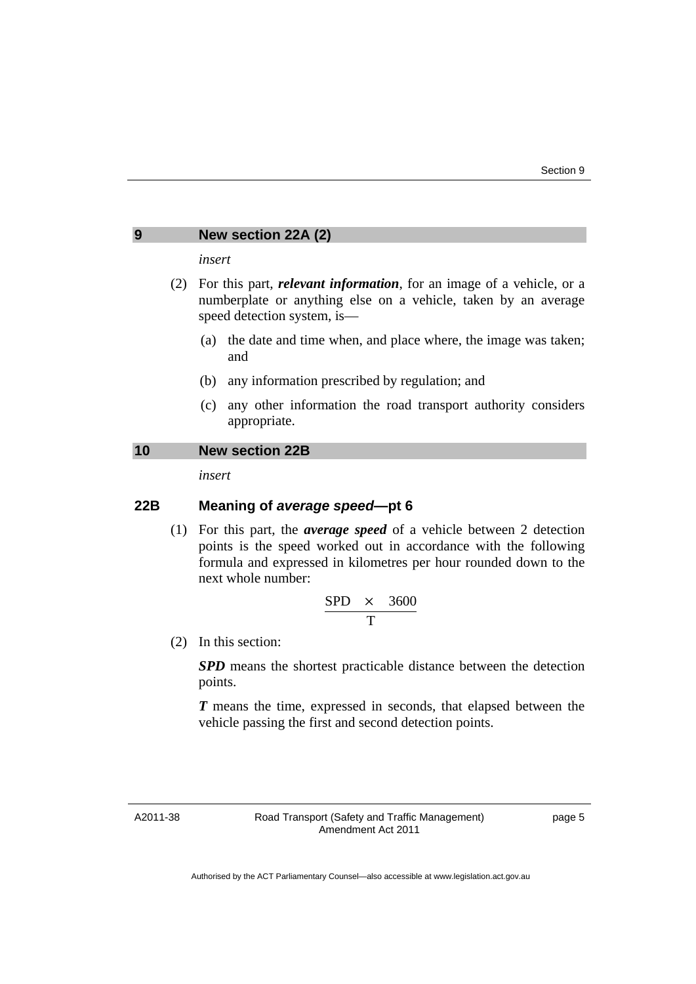#### <span id="page-6-0"></span>**9 New section 22A (2)**

#### *insert*

- (2) For this part, *relevant information*, for an image of a vehicle, or a numberplate or anything else on a vehicle, taken by an average speed detection system, is—
	- (a) the date and time when, and place where, the image was taken; and
	- (b) any information prescribed by regulation; and
	- (c) any other information the road transport authority considers appropriate.

## <span id="page-6-1"></span>**10 New section 22B**

*insert* 

## **22B Meaning of** *average speed***—pt 6**

 (1) For this part, the *average speed* of a vehicle between 2 detection points is the speed worked out in accordance with the following formula and expressed in kilometres per hour rounded down to the next whole number:

$$
\frac{\text{SPD} \times 3600}{T}
$$

(2) In this section:

*SPD* means the shortest practicable distance between the detection points.

*T* means the time, expressed in seconds, that elapsed between the vehicle passing the first and second detection points.

A2011-38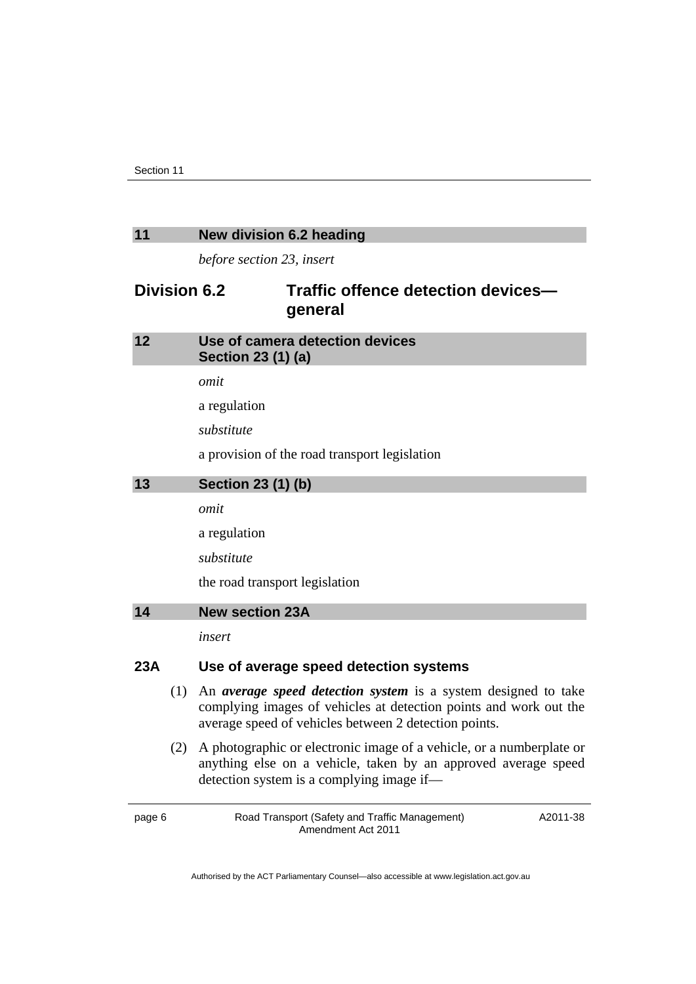#### <span id="page-7-0"></span>**11 New division 6.2 heading**

*before section 23, insert* 

## **Division 6.2 Traffic offence detection devices general**

<span id="page-7-2"></span><span id="page-7-1"></span>

| 12  |     | Use of camera detection devices                                       |
|-----|-----|-----------------------------------------------------------------------|
|     |     | Section 23 (1) (a)                                                    |
|     |     | omit                                                                  |
|     |     | a regulation                                                          |
|     |     | substitute                                                            |
|     |     | a provision of the road transport legislation                         |
| 13  |     | Section 23 (1) (b)                                                    |
|     |     | omit                                                                  |
|     |     | a regulation                                                          |
|     |     | substitute                                                            |
|     |     | the road transport legislation                                        |
| 14  |     | <b>New section 23A</b>                                                |
|     |     | insert                                                                |
| 23A |     | Use of average speed detection systems                                |
|     | (1) | An <i>average speed detection system</i> is a system designed to take |

- <span id="page-7-3"></span>complying images of vehicles at detection points and work out the average speed of vehicles between 2 detection points.
- (2) A photographic or electronic image of a vehicle, or a numberplate or anything else on a vehicle, taken by an approved average speed detection system is a complying image if—

page 6 Road Transport (Safety and Traffic Management) Amendment Act 2011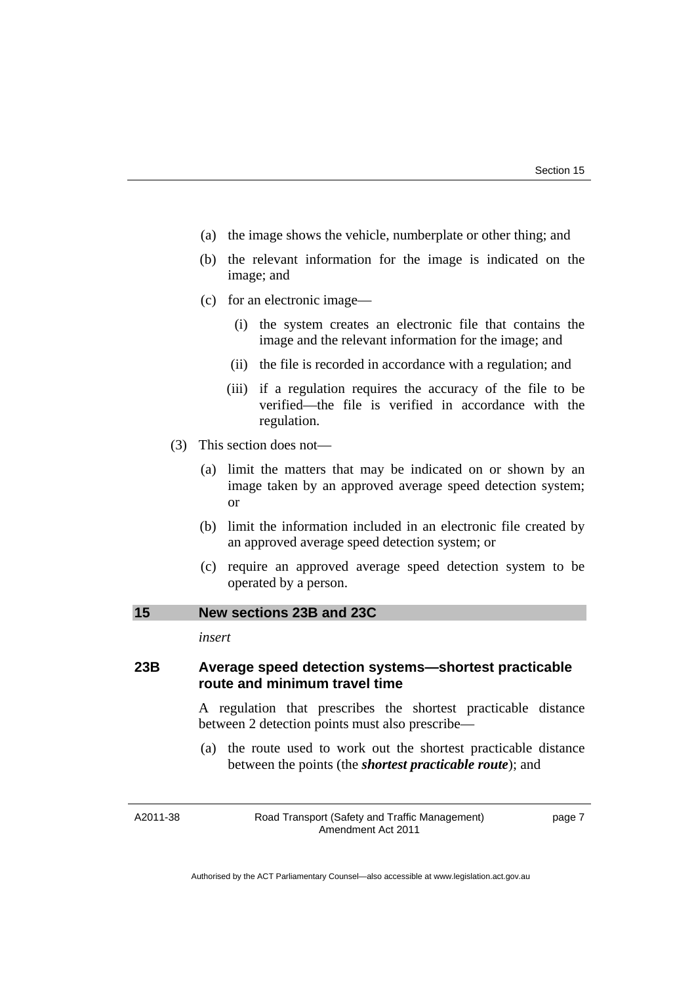- (a) the image shows the vehicle, numberplate or other thing; and
- (b) the relevant information for the image is indicated on the image; and
- (c) for an electronic image—
	- (i) the system creates an electronic file that contains the image and the relevant information for the image; and
	- (ii) the file is recorded in accordance with a regulation; and
	- (iii) if a regulation requires the accuracy of the file to be verified—the file is verified in accordance with the regulation.
- (3) This section does not—
	- (a) limit the matters that may be indicated on or shown by an image taken by an approved average speed detection system; or
	- (b) limit the information included in an electronic file created by an approved average speed detection system; or
	- (c) require an approved average speed detection system to be operated by a person.

### <span id="page-8-0"></span>**15 New sections 23B and 23C**

*insert* 

## **23B Average speed detection systems—shortest practicable route and minimum travel time**

A regulation that prescribes the shortest practicable distance between 2 detection points must also prescribe—

 (a) the route used to work out the shortest practicable distance between the points (the *shortest practicable route*); and

A2011-38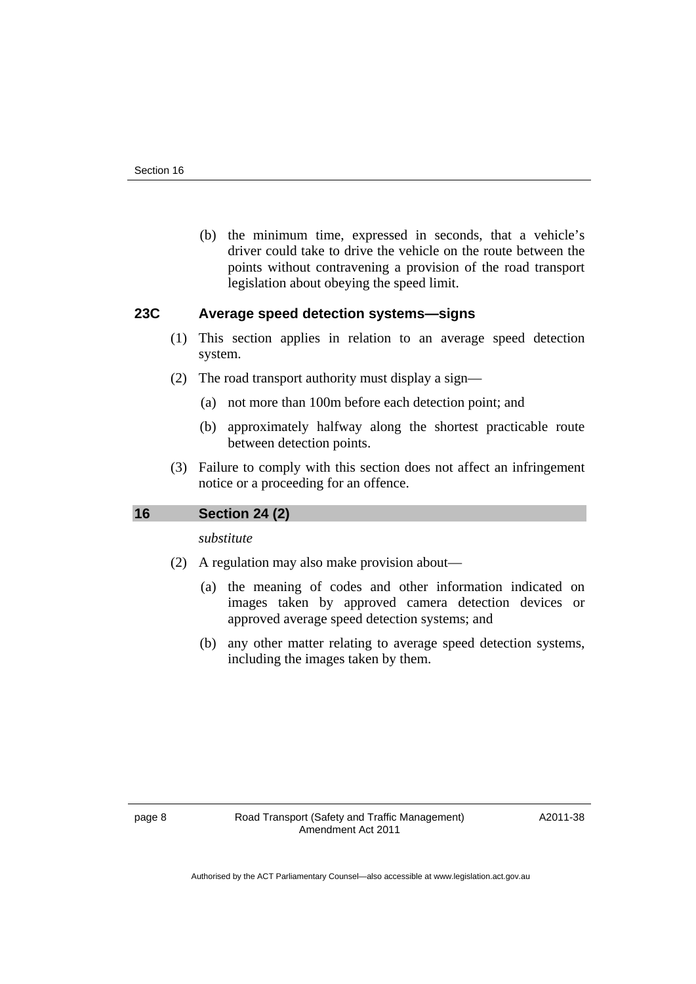(b) the minimum time, expressed in seconds, that a vehicle's driver could take to drive the vehicle on the route between the points without contravening a provision of the road transport legislation about obeying the speed limit.

## **23C Average speed detection systems—signs**

- (1) This section applies in relation to an average speed detection system.
- (2) The road transport authority must display a sign—
	- (a) not more than 100m before each detection point; and
	- (b) approximately halfway along the shortest practicable route between detection points.
- (3) Failure to comply with this section does not affect an infringement notice or a proceeding for an offence.

## <span id="page-9-0"></span>**16 Section 24 (2)**

*substitute* 

- (2) A regulation may also make provision about—
	- (a) the meaning of codes and other information indicated on images taken by approved camera detection devices or approved average speed detection systems; and
	- (b) any other matter relating to average speed detection systems, including the images taken by them.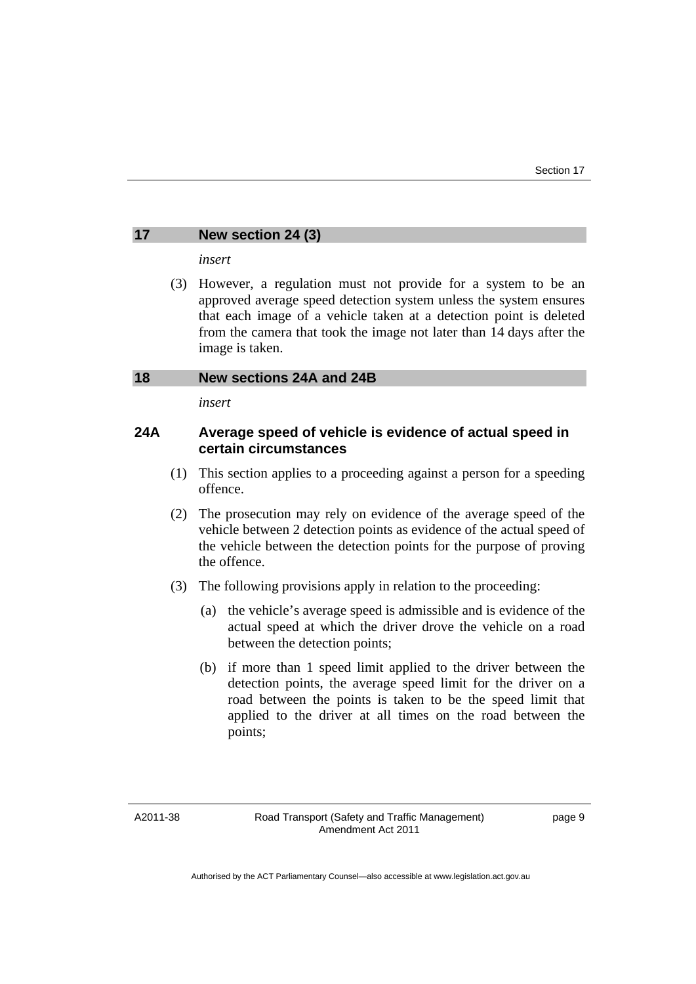## <span id="page-10-0"></span>**17 New section 24 (3)**

*insert* 

 (3) However, a regulation must not provide for a system to be an approved average speed detection system unless the system ensures that each image of a vehicle taken at a detection point is deleted from the camera that took the image not later than 14 days after the image is taken.

#### <span id="page-10-1"></span>**18 New sections 24A and 24B**

*insert* 

## **24A Average speed of vehicle is evidence of actual speed in certain circumstances**

- (1) This section applies to a proceeding against a person for a speeding offence.
- (2) The prosecution may rely on evidence of the average speed of the vehicle between 2 detection points as evidence of the actual speed of the vehicle between the detection points for the purpose of proving the offence.
- (3) The following provisions apply in relation to the proceeding:
	- (a) the vehicle's average speed is admissible and is evidence of the actual speed at which the driver drove the vehicle on a road between the detection points;
	- (b) if more than 1 speed limit applied to the driver between the detection points, the average speed limit for the driver on a road between the points is taken to be the speed limit that applied to the driver at all times on the road between the points;

A2011-38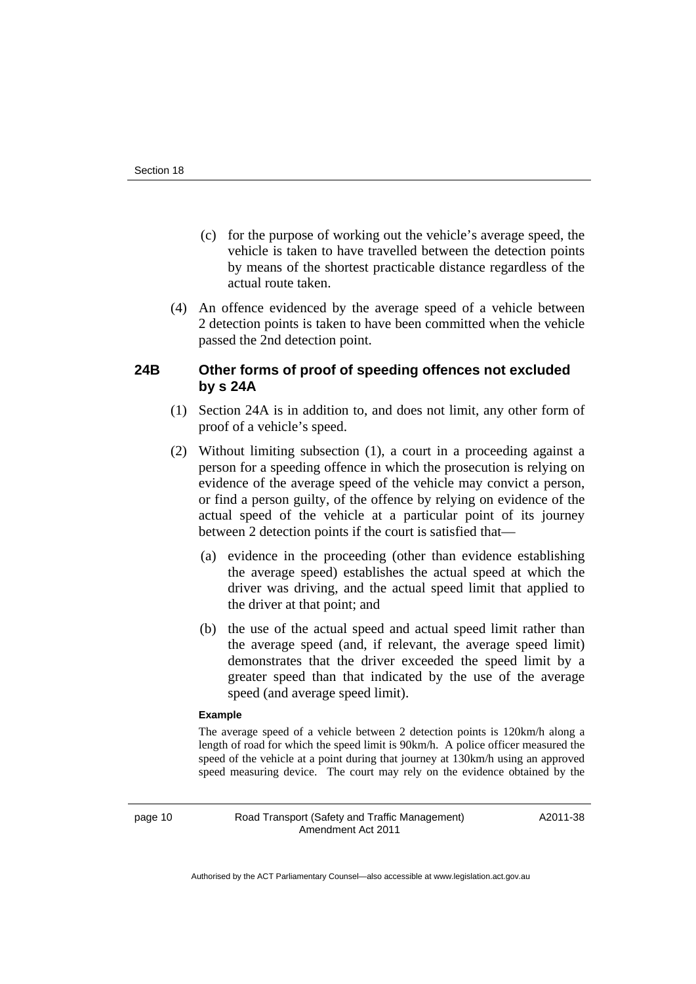- (c) for the purpose of working out the vehicle's average speed, the vehicle is taken to have travelled between the detection points by means of the shortest practicable distance regardless of the actual route taken.
- (4) An offence evidenced by the average speed of a vehicle between 2 detection points is taken to have been committed when the vehicle passed the 2nd detection point.

## **24B Other forms of proof of speeding offences not excluded by s 24A**

- (1) Section 24A is in addition to, and does not limit, any other form of proof of a vehicle's speed.
- (2) Without limiting subsection (1), a court in a proceeding against a person for a speeding offence in which the prosecution is relying on evidence of the average speed of the vehicle may convict a person, or find a person guilty, of the offence by relying on evidence of the actual speed of the vehicle at a particular point of its journey between 2 detection points if the court is satisfied that—
	- (a) evidence in the proceeding (other than evidence establishing the average speed) establishes the actual speed at which the driver was driving, and the actual speed limit that applied to the driver at that point; and
	- (b) the use of the actual speed and actual speed limit rather than the average speed (and, if relevant, the average speed limit) demonstrates that the driver exceeded the speed limit by a greater speed than that indicated by the use of the average speed (and average speed limit).

#### **Example**

The average speed of a vehicle between 2 detection points is 120km/h along a length of road for which the speed limit is 90km/h. A police officer measured the speed of the vehicle at a point during that journey at 130km/h using an approved speed measuring device. The court may rely on the evidence obtained by the

page 10 **Road Transport (Safety and Traffic Management)** Amendment Act 2011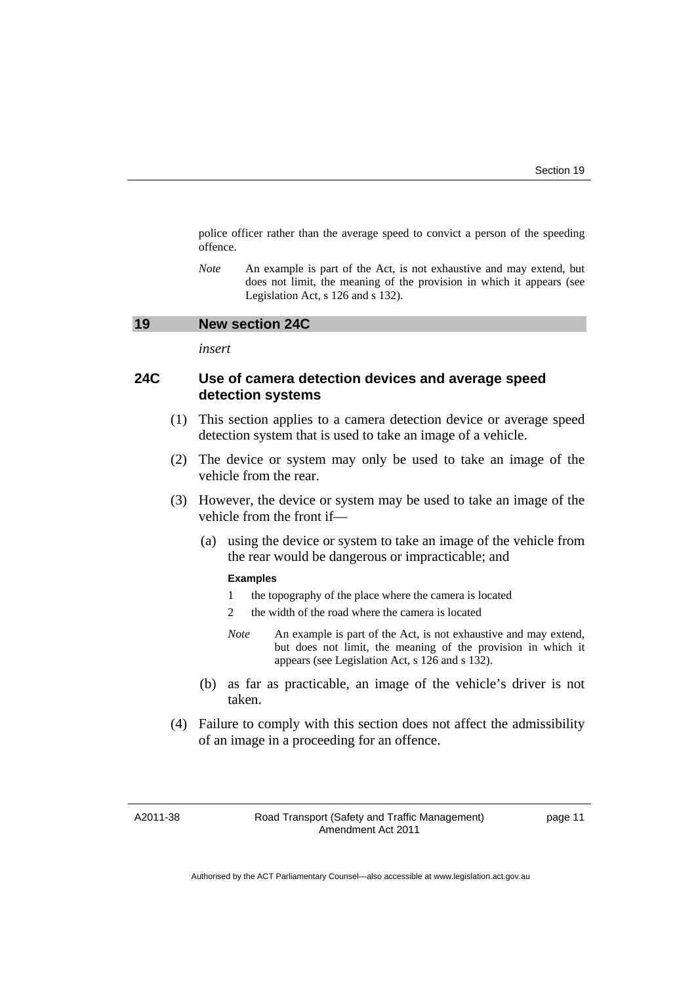police officer rather than the average speed to convict a person of the speeding offence.

*Note* An example is part of the Act, is not exhaustive and may extend, but does not limit, the meaning of the provision in which it appears (see Legislation Act, s 126 and s 132).

#### <span id="page-12-0"></span>**19 New section 24C**

*insert* 

## **24C Use of camera detection devices and average speed detection systems**

- (1) This section applies to a camera detection device or average speed detection system that is used to take an image of a vehicle.
- (2) The device or system may only be used to take an image of the vehicle from the rear.
- (3) However, the device or system may be used to take an image of the vehicle from the front if—
	- (a) using the device or system to take an image of the vehicle from the rear would be dangerous or impracticable; and

#### **Examples**

- 1 the topography of the place where the camera is located
- 2 the width of the road where the camera is located
- *Note* An example is part of the Act, is not exhaustive and may extend, but does not limit, the meaning of the provision in which it appears (see Legislation Act, s 126 and s 132).
- (b) as far as practicable, an image of the vehicle's driver is not taken.
- (4) Failure to comply with this section does not affect the admissibility of an image in a proceeding for an offence.

A2011-38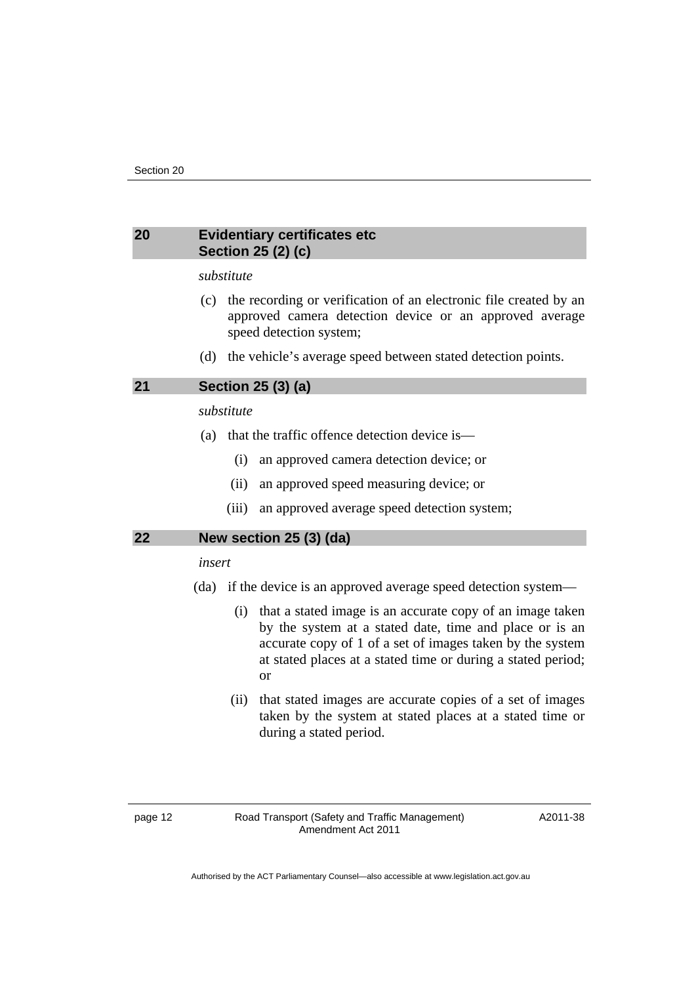## <span id="page-13-0"></span>**20 Evidentiary certificates etc Section 25 (2) (c)**

#### *substitute*

- (c) the recording or verification of an electronic file created by an approved camera detection device or an approved average speed detection system;
- (d) the vehicle's average speed between stated detection points.

## <span id="page-13-1"></span>**21 Section 25 (3) (a)**

## *substitute*

- (a) that the traffic offence detection device is—
	- (i) an approved camera detection device; or
	- (ii) an approved speed measuring device; or
	- (iii) an approved average speed detection system;

#### <span id="page-13-2"></span>**22 New section 25 (3) (da)**

#### *insert*

- (da) if the device is an approved average speed detection system—
	- (i) that a stated image is an accurate copy of an image taken by the system at a stated date, time and place or is an accurate copy of 1 of a set of images taken by the system at stated places at a stated time or during a stated period; or
	- (ii) that stated images are accurate copies of a set of images taken by the system at stated places at a stated time or during a stated period.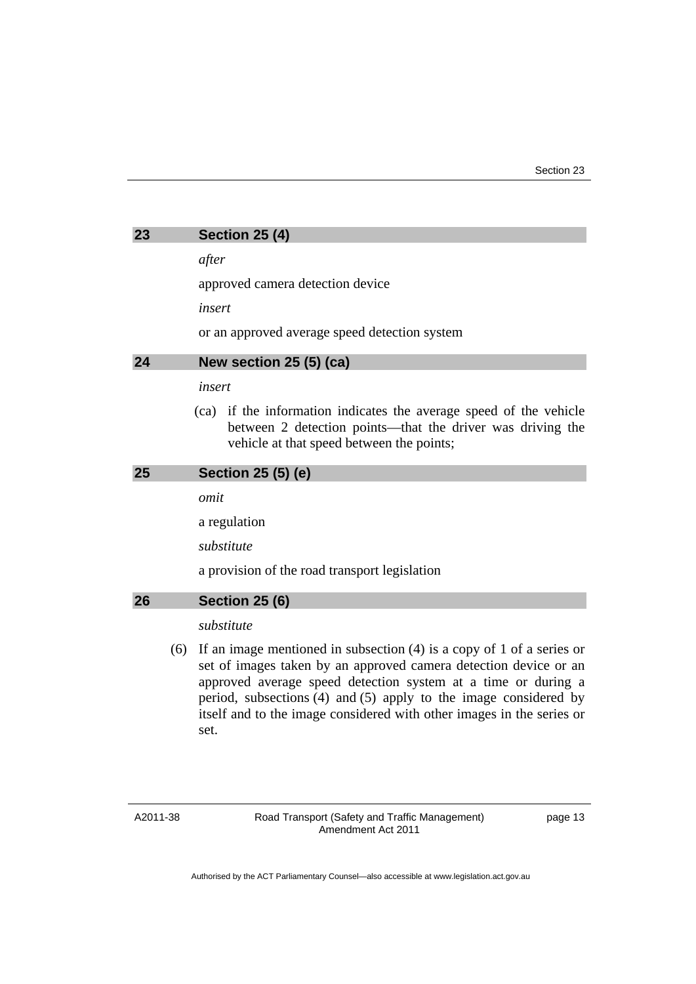<span id="page-14-0"></span>

| 23 | <b>Section 25 (4)</b> |  |  |
|----|-----------------------|--|--|
|----|-----------------------|--|--|

*after* 

approved camera detection device

*insert* 

or an approved average speed detection system

## <span id="page-14-1"></span>**24 New section 25 (5) (ca)**

#### *insert*

 (ca) if the information indicates the average speed of the vehicle between 2 detection points—that the driver was driving the vehicle at that speed between the points;

#### <span id="page-14-2"></span>**25 Section 25 (5) (e)**

*omit* 

a regulation

*substitute* 

a provision of the road transport legislation

#### <span id="page-14-3"></span>**26 Section 25 (6)**

#### *substitute*

 (6) If an image mentioned in subsection (4) is a copy of 1 of a series or set of images taken by an approved camera detection device or an approved average speed detection system at a time or during a period, subsections (4) and (5) apply to the image considered by itself and to the image considered with other images in the series or set.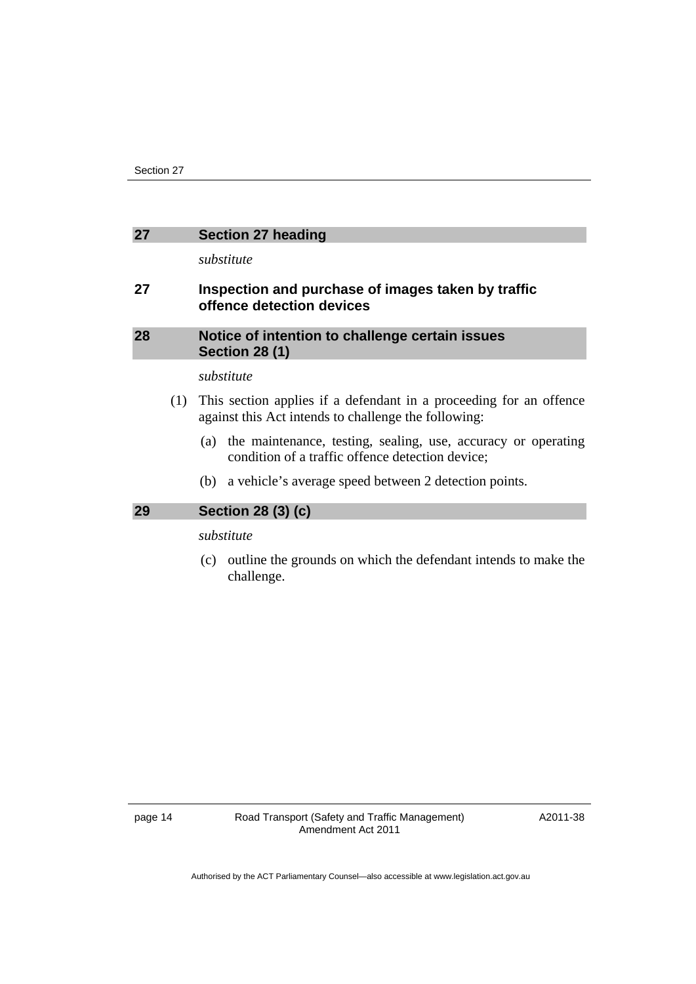## <span id="page-15-0"></span>**27 Section 27 heading**

*substitute* 

## **27 Inspection and purchase of images taken by traffic offence detection devices**

## <span id="page-15-1"></span>**28 Notice of intention to challenge certain issues Section 28 (1)**

#### *substitute*

- (1) This section applies if a defendant in a proceeding for an offence against this Act intends to challenge the following:
	- (a) the maintenance, testing, sealing, use, accuracy or operating condition of a traffic offence detection device;
	- (b) a vehicle's average speed between 2 detection points.

## <span id="page-15-2"></span>**29 Section 28 (3) (c)**

## *substitute*

 (c) outline the grounds on which the defendant intends to make the challenge.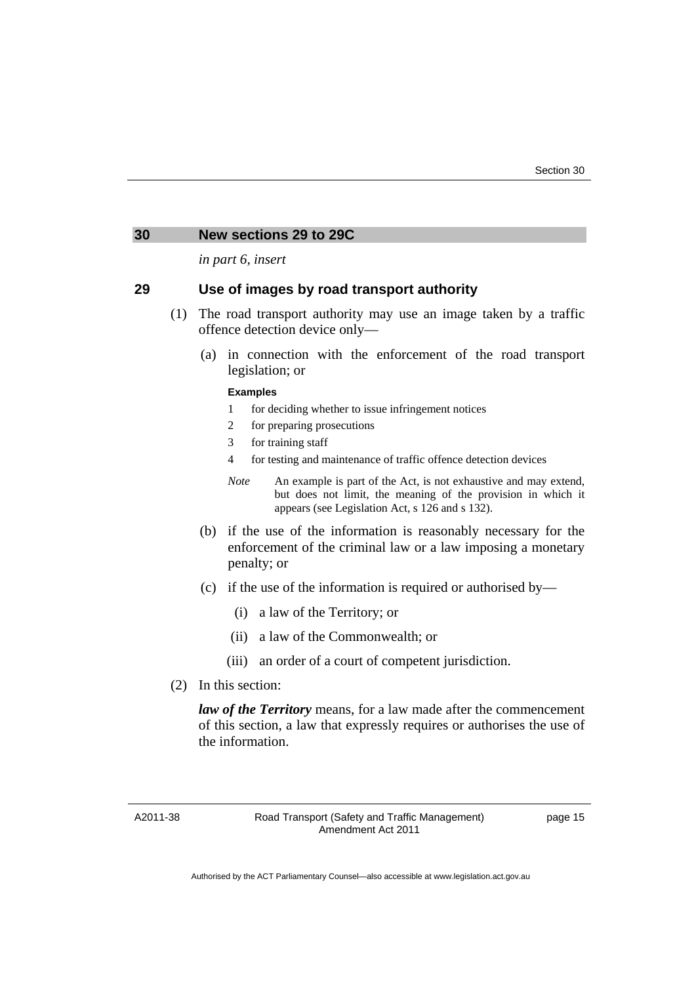#### <span id="page-16-0"></span>**30 New sections 29 to 29C**

*in part 6, insert* 

## **29 Use of images by road transport authority**

- (1) The road transport authority may use an image taken by a traffic offence detection device only—
	- (a) in connection with the enforcement of the road transport legislation; or

#### **Examples**

- 1 for deciding whether to issue infringement notices
- 2 for preparing prosecutions
- 3 for training staff
- 4 for testing and maintenance of traffic offence detection devices
- *Note* An example is part of the Act, is not exhaustive and may extend, but does not limit, the meaning of the provision in which it appears (see Legislation Act, s 126 and s 132).
- (b) if the use of the information is reasonably necessary for the enforcement of the criminal law or a law imposing a monetary penalty; or
- (c) if the use of the information is required or authorised by—
	- (i) a law of the Territory; or
	- (ii) a law of the Commonwealth; or
	- (iii) an order of a court of competent jurisdiction.
- (2) In this section:

*law of the Territory* means, for a law made after the commencement of this section, a law that expressly requires or authorises the use of the information.

A2011-38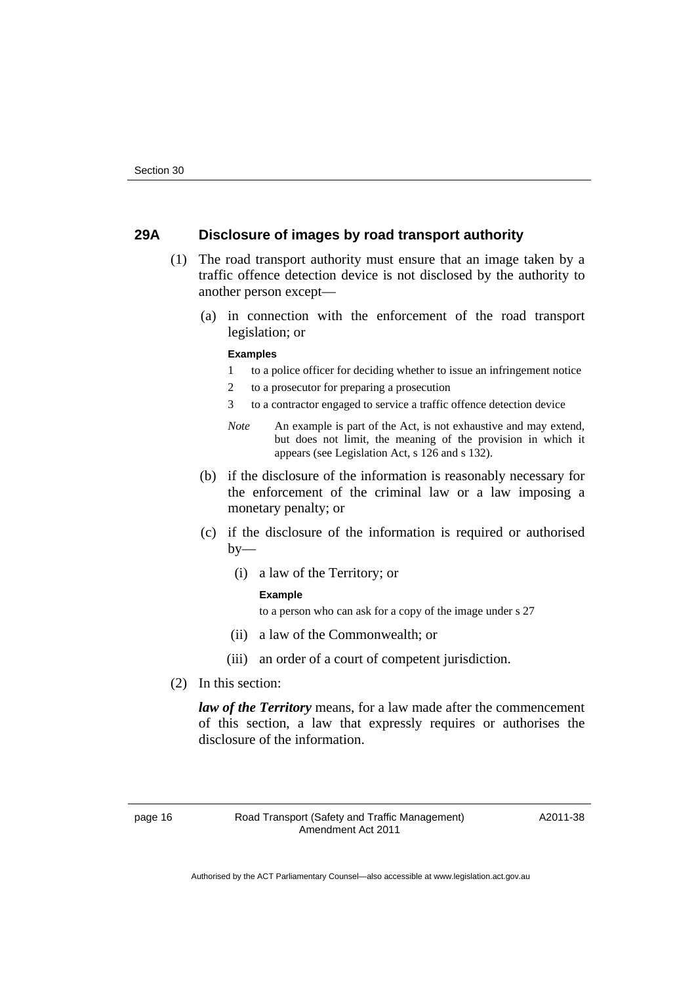## **29A Disclosure of images by road transport authority**

- (1) The road transport authority must ensure that an image taken by a traffic offence detection device is not disclosed by the authority to another person except—
	- (a) in connection with the enforcement of the road transport legislation; or

#### **Examples**

- 1 to a police officer for deciding whether to issue an infringement notice
- 2 to a prosecutor for preparing a prosecution
- 3 to a contractor engaged to service a traffic offence detection device
- *Note* An example is part of the Act, is not exhaustive and may extend, but does not limit, the meaning of the provision in which it appears (see Legislation Act, s 126 and s 132).
- (b) if the disclosure of the information is reasonably necessary for the enforcement of the criminal law or a law imposing a monetary penalty; or
- (c) if the disclosure of the information is required or authorised  $by-$ 
	- (i) a law of the Territory; or

#### **Example**

to a person who can ask for a copy of the image under s 27

- (ii) a law of the Commonwealth; or
- (iii) an order of a court of competent jurisdiction.
- (2) In this section:

*law of the Territory* means, for a law made after the commencement of this section, a law that expressly requires or authorises the disclosure of the information.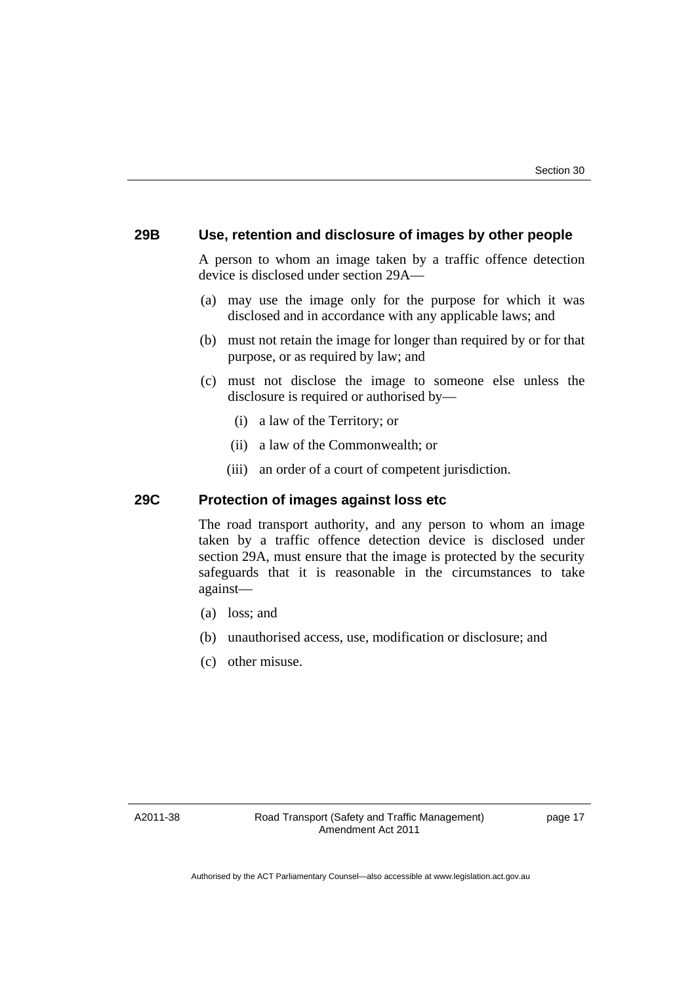## **29B Use, retention and disclosure of images by other people**

A person to whom an image taken by a traffic offence detection device is disclosed under section 29A—

- (a) may use the image only for the purpose for which it was disclosed and in accordance with any applicable laws; and
- (b) must not retain the image for longer than required by or for that purpose, or as required by law; and
- (c) must not disclose the image to someone else unless the disclosure is required or authorised by—
	- (i) a law of the Territory; or
	- (ii) a law of the Commonwealth; or
	- (iii) an order of a court of competent jurisdiction.

## **29C Protection of images against loss etc**

The road transport authority, and any person to whom an image taken by a traffic offence detection device is disclosed under section 29A, must ensure that the image is protected by the security safeguards that it is reasonable in the circumstances to take against—

- (a) loss; and
- (b) unauthorised access, use, modification or disclosure; and
- (c) other misuse.

A2011-38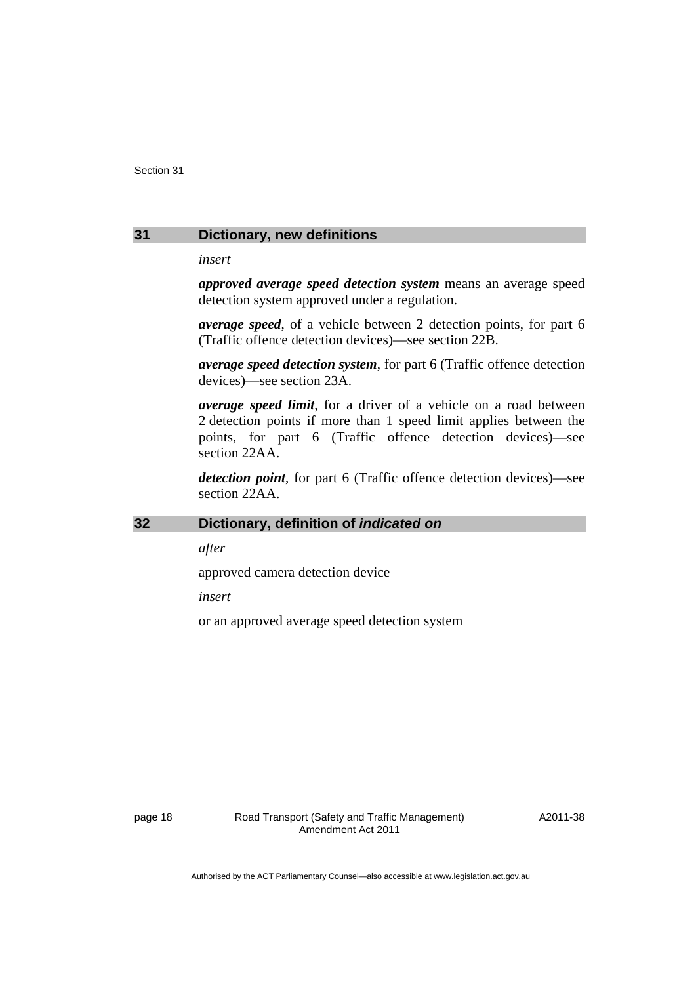#### <span id="page-19-0"></span>**31 Dictionary, new definitions**

#### *insert*

*approved average speed detection system* means an average speed detection system approved under a regulation.

*average speed*, of a vehicle between 2 detection points, for part 6 (Traffic offence detection devices)—see section 22B.

*average speed detection system*, for part 6 (Traffic offence detection devices)—see section 23A.

*average speed limit*, for a driver of a vehicle on a road between 2 detection points if more than 1 speed limit applies between the points, for part 6 (Traffic offence detection devices)—see section 22AA.

*detection point*, for part 6 (Traffic offence detection devices)—see section 22AA.

## <span id="page-19-1"></span>**32 Dictionary, definition of** *indicated on*

*after* 

approved camera detection device

*insert* 

or an approved average speed detection system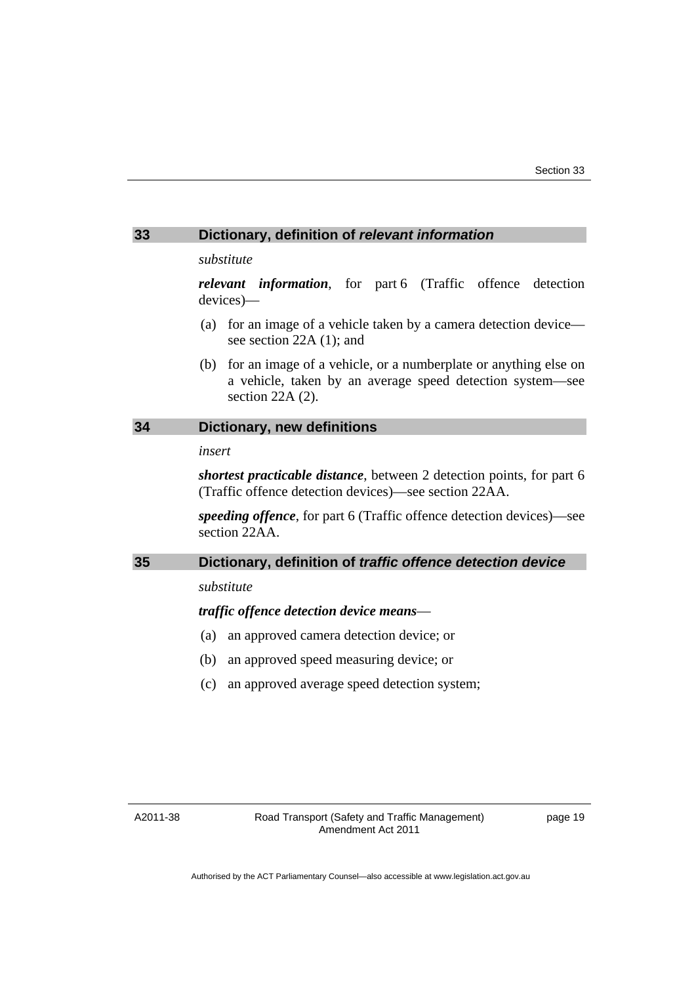#### <span id="page-20-0"></span>**33 Dictionary, definition of** *relevant information*

#### *substitute*

*relevant information*, for part 6 (Traffic offence detection devices)—

- (a) for an image of a vehicle taken by a camera detection device see section 22A (1); and
- (b) for an image of a vehicle, or a numberplate or anything else on a vehicle, taken by an average speed detection system—see section 22A (2).

## <span id="page-20-1"></span>**34 Dictionary, new definitions**

#### *insert*

*shortest practicable distance*, between 2 detection points, for part 6 (Traffic offence detection devices)—see section 22AA.

*speeding offence*, for part 6 (Traffic offence detection devices)—see section 22AA.

## <span id="page-20-2"></span>**35 Dictionary, definition of** *traffic offence detection device*

#### *substitute*

#### *traffic offence detection device means*—

- (a) an approved camera detection device; or
- (b) an approved speed measuring device; or
- (c) an approved average speed detection system;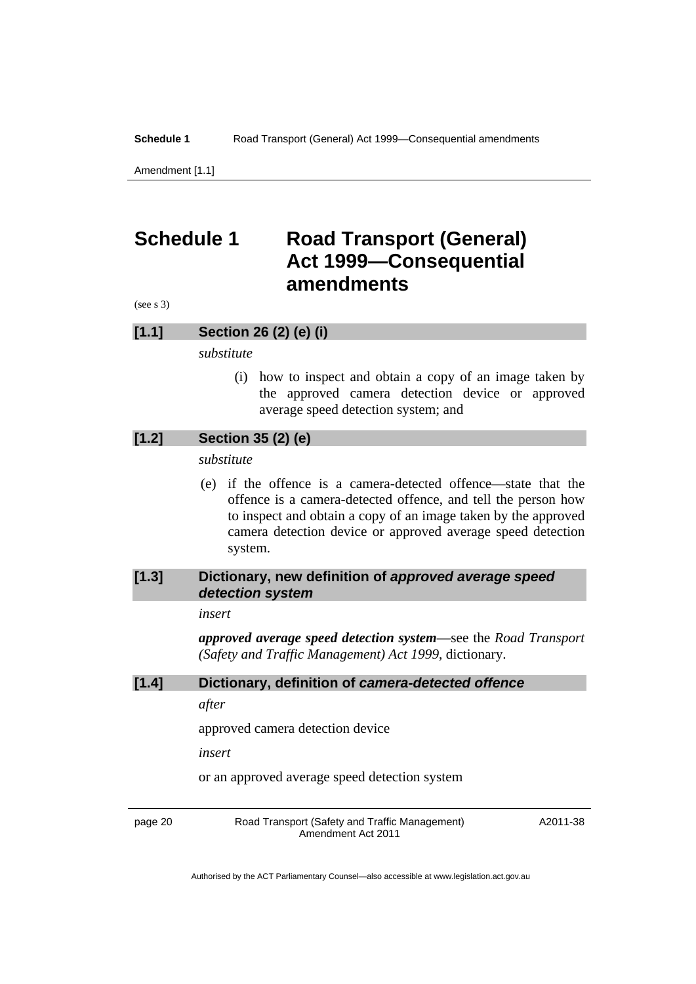**Schedule 1** Road Transport (General) Act 1999-Consequential amendments

Amendment [1.1]

## <span id="page-21-0"></span>**Schedule 1 Road Transport (General) Act 1999—Consequential amendments**

(see s 3)

#### **[1.1] Section 26 (2) (e) (i)**

*substitute* 

 (i) how to inspect and obtain a copy of an image taken by the approved camera detection device or approved average speed detection system; and

## **[1.2] Section 35 (2) (e)**

*substitute* 

 (e) if the offence is a camera-detected offence—state that the offence is a camera-detected offence, and tell the person how to inspect and obtain a copy of an image taken by the approved camera detection device or approved average speed detection system.

## **[1.3] Dictionary, new definition of** *approved average speed detection system*

#### *insert*

*approved average speed detection system*—see the *Road Transport (Safety and Traffic Management) Act 1999*, dictionary.

## **[1.4] Dictionary, definition of** *camera-detected offence*

*after* 

approved camera detection device

*insert* 

or an approved average speed detection system

page 20 Road Transport (Safety and Traffic Management) Amendment Act 2011

A2011-38